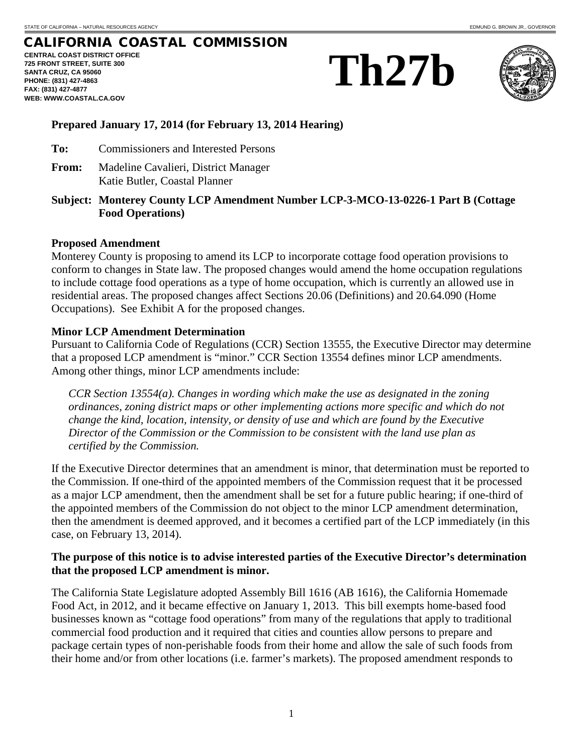# CALIFORNIA COASTAL COMMISSION

**CENTRAL COAST DISTRICT OFFICE 725 FRONT STREET, SUITE 300 SANTA CRUZ, CA 95060 PHONE: (831) 427-4863 FAX: (831) 427-4877 WEB: WWW.COASTAL.CA.GOV**





# **Prepared January 17, 2014 (for February 13, 2014 Hearing)**

- **To:** Commissioners and Interested Persons
- **From:** Madeline Cavalieri, District Manager Katie Butler, Coastal Planner
- **Subject: Monterey County LCP Amendment Number LCP-3-MCO-13-0226-1 Part B (Cottage Food Operations)**

## **Proposed Amendment**

Monterey County is proposing to amend its LCP to incorporate cottage food operation provisions to conform to changes in State law. The proposed changes would amend the home occupation regulations to include cottage food operations as a type of home occupation, which is currently an allowed use in residential areas. The proposed changes affect Sections 20.06 (Definitions) and 20.64.090 (Home Occupations). See Exhibit A for the proposed changes.

## **Minor LCP Amendment Determination**

Pursuant to California Code of Regulations (CCR) Section 13555, the Executive Director may determine that a proposed LCP amendment is "minor." CCR Section 13554 defines minor LCP amendments. Among other things, minor LCP amendments include:

*CCR Section 13554(a). Changes in wording which make the use as designated in the zoning ordinances, zoning district maps or other implementing actions more specific and which do not change the kind, location, intensity, or density of use and which are found by the Executive Director of the Commission or the Commission to be consistent with the land use plan as certified by the Commission.*

If the Executive Director determines that an amendment is minor, that determination must be reported to the Commission. If one-third of the appointed members of the Commission request that it be processed as a major LCP amendment, then the amendment shall be set for a future public hearing; if one-third of the appointed members of the Commission do not object to the minor LCP amendment determination, then the amendment is deemed approved, and it becomes a certified part of the LCP immediately (in this case, on February 13, 2014).

## **The purpose of this notice is to advise interested parties of the Executive Director's determination that the proposed LCP amendment is minor.**

The California State Legislature adopted Assembly Bill 1616 (AB 1616), the California Homemade Food Act, in 2012, and it became effective on January 1, 2013. This bill exempts home-based food businesses known as "cottage food operations" from many of the regulations that apply to traditional commercial food production and it required that cities and counties allow persons to prepare and package certain types of non-perishable foods from their home and allow the sale of such foods from their home and/or from other locations (i.e. farmer's markets). The proposed amendment responds to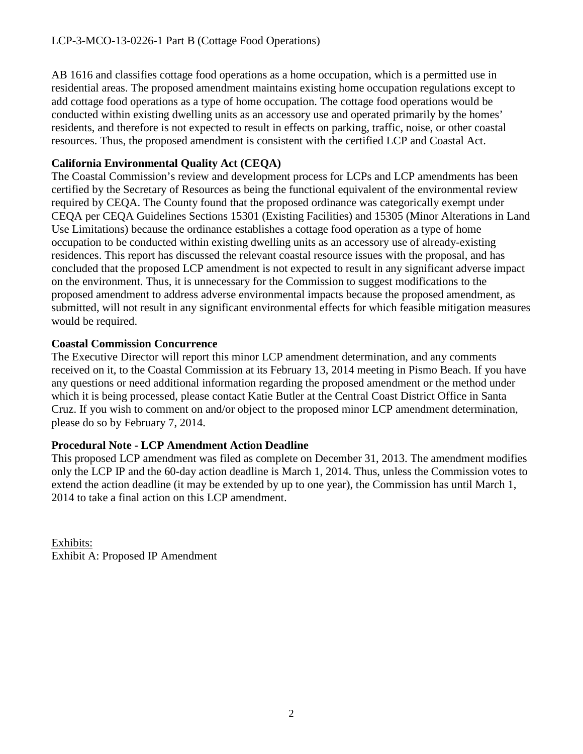AB 1616 and classifies cottage food operations as a home occupation, which is a permitted use in residential areas. The proposed amendment maintains existing home occupation regulations except to add cottage food operations as a type of home occupation. The cottage food operations would be conducted within existing dwelling units as an accessory use and operated primarily by the homes' residents, and therefore is not expected to result in effects on parking, traffic, noise, or other coastal resources. Thus, the proposed amendment is consistent with the certified LCP and Coastal Act.

# **California Environmental Quality Act (CEQA)**

The Coastal Commission's review and development process for LCPs and LCP amendments has been certified by the Secretary of Resources as being the functional equivalent of the environmental review required by CEQA. The County found that the proposed ordinance was categorically exempt under CEQA per CEQA Guidelines Sections 15301 (Existing Facilities) and 15305 (Minor Alterations in Land Use Limitations) because the ordinance establishes a cottage food operation as a type of home occupation to be conducted within existing dwelling units as an accessory use of already-existing residences. This report has discussed the relevant coastal resource issues with the proposal, and has concluded that the proposed LCP amendment is not expected to result in any significant adverse impact on the environment. Thus, it is unnecessary for the Commission to suggest modifications to the proposed amendment to address adverse environmental impacts because the proposed amendment, as submitted, will not result in any significant environmental effects for which feasible mitigation measures would be required.

# **Coastal Commission Concurrence**

The Executive Director will report this minor LCP amendment determination, and any comments received on it, to the Coastal Commission at its February 13, 2014 meeting in Pismo Beach. If you have any questions or need additional information regarding the proposed amendment or the method under which it is being processed, please contact Katie Butler at the Central Coast District Office in Santa Cruz. If you wish to comment on and/or object to the proposed minor LCP amendment determination, please do so by February 7, 2014.

# **Procedural Note - LCP Amendment Action Deadline**

This proposed LCP amendment was filed as complete on December 31, 2013. The amendment modifies only the LCP IP and the 60-day action deadline is March 1, 2014. Thus, unless the Commission votes to extend the action deadline (it may be extended by up to one year), the Commission has until March 1, 2014 to take a final action on this LCP amendment.

Exhibits: Exhibit A: Proposed IP Amendment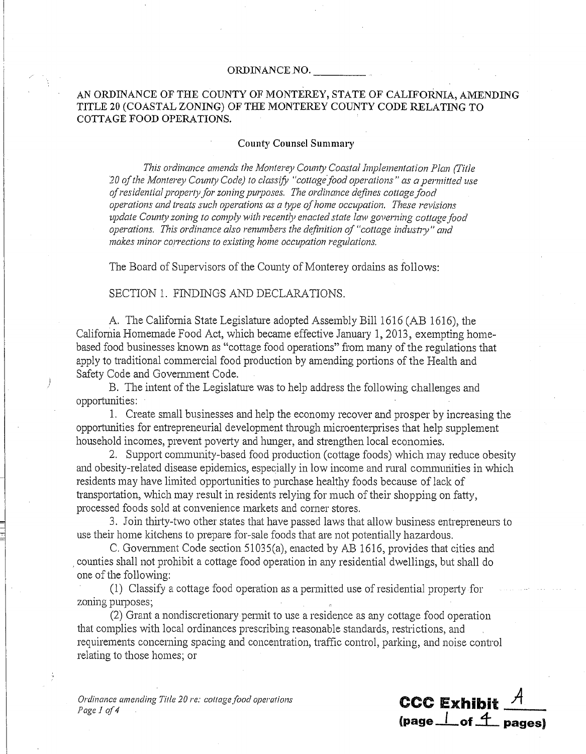### ORDINANCE NO.

## AN ORDINANCE OF THE COUNTY OF MONTEREY, STATE OF CALIFORNIA, AMENDING TITLE 20 (COASTAL ZONING) OF THE MONTEREY COUNTY CODE RELATING TO COTTAGE FOOD OPERATIONS.

### **County Counsel Summary**

This ordinance amends the Monterey County Coastal Implementation Plan (Title 20 of the Monterey County Code) to classify "cottage food operations" as a permitted use of residential property for zoning purposes. The ordinance defines cottage food operations and treats such operations as a type of home occupation. These revisions update County zoning to comply with recently enacted state law governing cottage food operations. This ordinance also renumbers the definition of "cottage industry" and makes minor corrections to existing home occupation regulations.

The Board of Supervisors of the County of Monterey ordains as follows:

### SECTION 1. FINDINGS AND DECLARATIONS.

A. The California State Legislature adopted Assembly Bill 1616 (AB 1616), the California Homemade Food Act, which became effective January 1, 2013, exempting homebased food businesses known as "cottage food operations" from many of the regulations that apply to traditional commercial food production by amending portions of the Health and Safety Code and Government Code.

B. The intent of the Legislature was to help address the following challenges and opportunities:

1. Create small businesses and help the economy recover and prosper by increasing the opportunities for entrepreneurial development through microenterprises that help supplement household incomes, prevent poverty and hunger, and strengthen local economies.

2. Support community-based food production (cottage foods) which may reduce obesity and obesity-related disease epidemics, especially in low income and rural communities in which residents may have limited opportunities to purchase healthy foods because of lack of transportation, which may result in residents relying for much of their shopping on fatty, processed foods sold at convenience markets and corner stores.

3. Join thirty-two other states that have passed laws that allow business entrepreneurs to use their home kitchens to prepare for-sale foods that are not potentially hazardous.

C. Government Code section 51035(a), enacted by AB 1616, provides that cities and counties shall not prohibit a cottage food operation in any residential dwellings, but shall do one of the following:

(1) Classify a cottage food operation as a permitted use of residential property for zoning purposes;

(2) Grant a nondiscretionary permit to use a residence as any cottage food operation that complies with local ordinances prescribing reasonable standards, restrictions, and requirements concerning spacing and concentration, traffic control, parking, and noise control relating to those homes; or

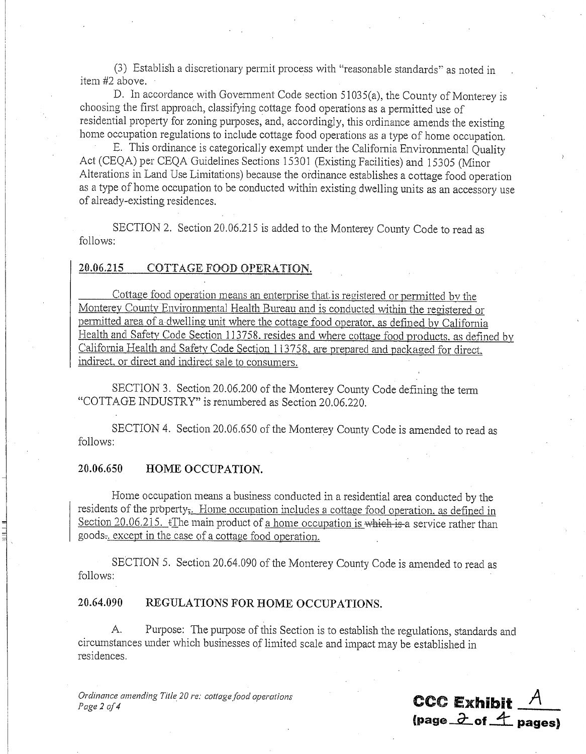(3) Establish a discretionary permit process with "reasonable standards" as noted in item #2 above.

D. In accordance with Government Code section 51035(a), the County of Monterey is choosing the first approach, classifying cottage food operations as a permitted use of residential property for zoning purposes, and, accordingly, this ordinance amends the existing home occupation regulations to include cottage food operations as a type of home occupation.

E. This ordinance is categorically exempt under the California Environmental Quality Act (CEQA) per CEQA Guidelines Sections 15301 (Existing Facilities) and 15305 (Minor Alterations in Land Use Limitations) because the ordinance establishes a cottage food operation as a type of home occupation to be conducted within existing dwelling units as an accessory use of already-existing residences.

SECTION 2. Section 20.06.215 is added to the Monterey County Code to read as follows:

#### 20.06.215 COTTAGE FOOD OPERATION.

Cottage food operation means an enterprise that is registered or permitted by the Monterey County Environmental Health Bureau and is conducted within the registered or permitted area of a dwelling unit where the cottage food operator, as defined by California Health and Safety Code Section 113758, resides and where cottage food products, as defined by California Health and Safety Code Section 113758, are prepared and packaged for direct. indirect, or direct and indirect sale to consumers.

SECTION 3. Section 20.06.200 of the Monterey County Code defining the term "COTTAGE INDUSTRY" is renumbered as Section 20.06.220.

SECTION 4. Section 20.06.650 of the Monterey County Code is amended to read as follows:

#### 20.06.650 HOME OCCUPATION.

Home occupation means a business conducted in a residential area conducted by the residents of the property<sub>5</sub>. Home occupation includes a cottage food operation, as defined in Section  $20.06.215$ .  $\angle$ The main product of a home occupation is which is a service rather than goods. except in the case of a cottage food operation.

SECTION 5. Section 20.64.090 of the Monterey County Code is amended to read as follows:

#### 20.64.090 REGULATIONS FOR HOME OCCUPATIONS.

Purpose: The purpose of this Section is to establish the regulations, standards and A. circumstances under which businesses of limited scale and impact may be established in residences.

Ordinance amending Title 20 re: cottage food operations Page 2 of 4

**CCC Exhibit** (page  $\partial$  of  $\overline{4}$  pages)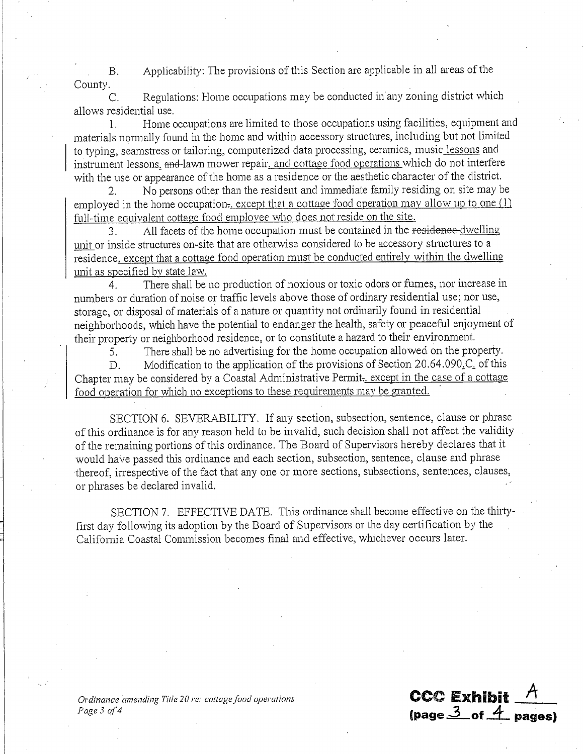Applicability: The provisions of this Section are applicable in all areas of the  $\overline{B}$ . County.

Regulations: Home occupations may be conducted in any zoning district which C. allows residential use.

Home occupations are limited to those occupations using facilities, equipment and  $\mathbf{1}$ materials normally found in the home and within accessory structures, including but not limited to typing, seamstress or tailoring, computerized data processing, ceramics, music lessons and instrument lessons, and lawn mower repair, and cottage food operations which do not interfere with the use or appearance of the home as a residence or the aesthetic character of the district.

No persons other than the resident and immediate family residing on site may be 2. employed in the home occupation. except that a cottage food operation may allow up to one  $(1)$ full-time equivalent cottage food employee who does not reside on the site.

All facets of the home occupation must be contained in the residence-dwelling  $3<sub>1</sub>$ unit or inside structures on-site that are otherwise considered to be accessory structures to a residence, except that a cottage food operation must be conducted entirely within the dwelling unit as specified by state law.

There shall be no production of noxious or toxic odors or fumes, nor increase in  $\overline{4}$ numbers or duration of noise or traffic levels above those of ordinary residential use; nor use, storage, or disposal of materials of a nature or quantity not ordinarily found in residential neighborhoods, which have the potential to endanger the health, safety or peaceful enjoyment of their property or neighborhood residence, or to constitute a hazard to their environment.

5. There shall be no advertising for the home occupation allowed on the property.

Modification to the application of the provisions of Section 20.64.090.C. of this  $D_{\perp}$ Chapter may be considered by a Coastal Administrative Permit- except in the case of a cottage food operation for which no exceptions to these requirements may be granted.

SECTION 6. SEVERABILITY. If any section, subsection, sentence, clause or phrase of this ordinance is for any reason held to be invalid, such decision shall not affect the validity of the remaining portions of this ordinance. The Board of Supervisors hereby declares that it would have passed this ordinance and each section, subsection, sentence, clause and phrase thereof, irrespective of the fact that any one or more sections, subsections, sentences, clauses, or phrases be declared invalid.

SECTION 7. EFFECTIVE DATE. This ordinance shall become effective on the thirtyfirst day following its adoption by the Board of Supervisors or the day certification by the California Coastal Commission becomes final and effective, whichever occurs later.

**CCC Exhibit** 

(page  $3$  of  $4$  pages)

Ordinance amending Title 20 re: cottage food operations Page 3 of 4